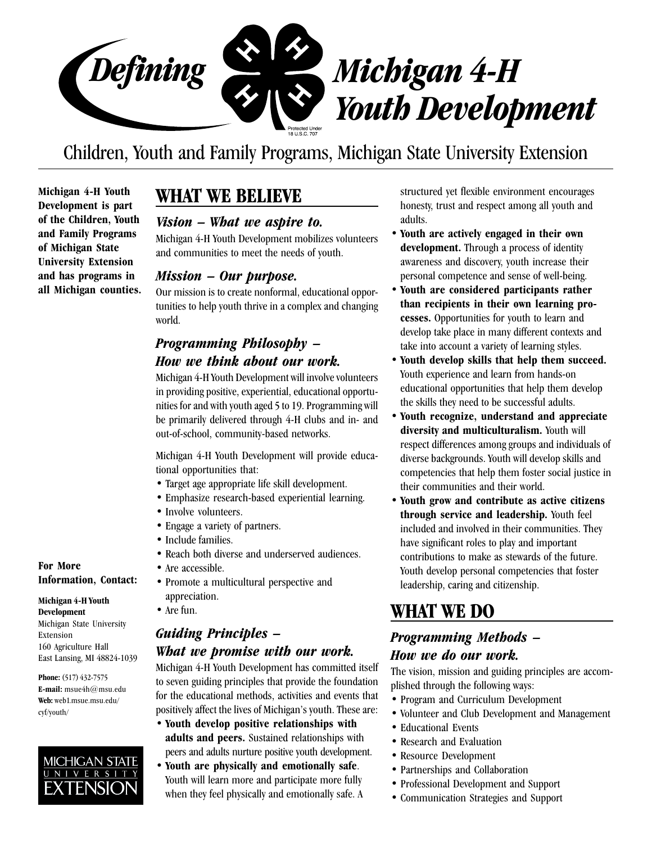

# Children, Youth and Family Programs, Michigan State University Extension

**Michigan 4-H Youth Development is part of the Children, Youth and Family Programs of Michigan State University Extension and has programs in all Michigan counties.**

# **WHAT WE BELIEVE**

### *Vision – What we aspire to.*

Michigan 4-H Youth Development mobilizes volunteers and communities to meet the needs of youth.

### *Mission – Our purpose.*

Our mission is to create nonformal, educational opportunities to help youth thrive in a complex and changing world.

# *Programming Philosophy – How we think about our work.*

Michigan 4-H Youth Development will involve volunteers in providing positive, experiential, educational opportunities for and with youth aged 5 to 19. Programming will be primarily delivered through 4-H clubs and in- and out-of-school, community-based networks.

Michigan 4-H Youth Development will provide educational opportunities that:

- Target age appropriate life skill development.
- Emphasize research-based experiential learning.
- Involve volunteers.
- Engage a variety of partners.
- Include families.
- Reach both diverse and underserved audiences.
- Are accessible.
	- Promote a multicultural perspective and appreciation.
	- Are fun.

# *Guiding Principles – What we promise with our work.*

Michigan 4-H Youth Development has committed itself to seven guiding principles that provide the foundation for the educational methods, activities and events that positively affect the lives of Michigan's youth. These are:

- **Youth develop positive relationships with adults and peers.** Sustained relationships with peers and adults nurture positive youth development.
- **Youth are physically and emotionally safe**. Youth will learn more and participate more fully when they feel physically and emotionally safe. A

structured yet flexible environment encourages honesty, trust and respect among all youth and adults.

- **Youth are actively engaged in their own development.** Through a process of identity awareness and discovery, youth increase their personal competence and sense of well-being.
- **Youth are considered participants rather than recipients in their own learning processes.** Opportunities for youth to learn and develop take place in many different contexts and take into account a variety of learning styles.
- **Youth develop skills that help them succeed.** Youth experience and learn from hands-on educational opportunities that help them develop the skills they need to be successful adults.
- **Youth recognize, understand and appreciate diversity and multiculturalism.** Youth will respect differences among groups and individuals of diverse backgrounds. Youth will develop skills and competencies that help them foster social justice in their communities and their world.
- **Youth grow and contribute as active citizens through service and leadership.** Youth feel included and involved in their communities. They have significant roles to play and important contributions to make as stewards of the future. Youth develop personal competencies that foster leadership, caring and citizenship.

# **WHAT WE DO**

### *Programming Methods – How we do our work.*

The vision, mission and guiding principles are accomplished through the following ways:

- Program and Curriculum Development
- Volunteer and Club Development and Management
- Educational Events
- Research and Evaluation
- Resource Development
- Partnerships and Collaboration
- Professional Development and Support
- Communication Strategies and Support

**For More Information, Contact:**

#### **Michigan 4-H Youth Development**

Michigan State University Extension 160 Agriculture Hall East Lansing, MI 48824-1039

**Phone:** (517) 432-7575 **E-mail:** msue4h@msu.edu **Web:** web1.msue.msu.edu/ cyf/youth/